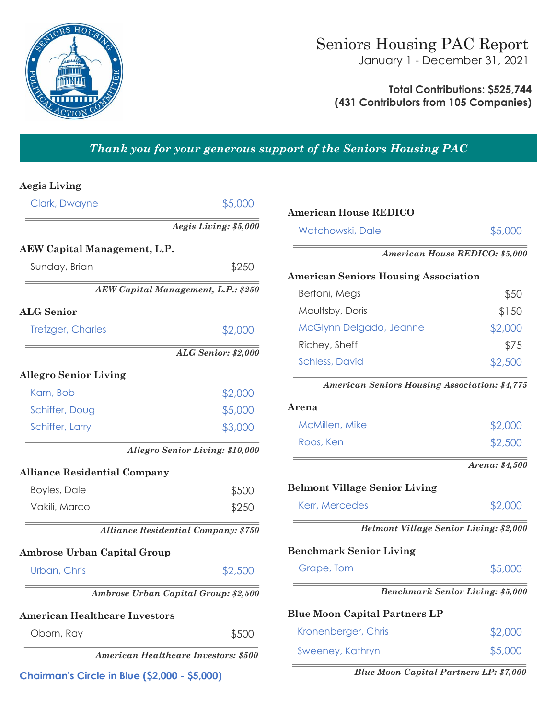

January 1 - December 31, 2021

**Total Contributions: \$525,744 (431 Contributors from 105 Companies)**

# *Thank you for your generous support of the Seniors Housing PAC*

# **Aegis Living**

| Clark, Dwayne                                 | \$5,000                                     |
|-----------------------------------------------|---------------------------------------------|
|                                               | Aegis Living: \$5,000                       |
| <b>AEW Capital Management, L.P.</b>           |                                             |
| Sunday, Brian                                 | \$250                                       |
|                                               | AEW Capital Management, L.P.: \$250         |
| <b>ALG Senior</b>                             |                                             |
| <b>Trefzger, Charles</b>                      | \$2,000                                     |
|                                               | ALG Senior: \$2,000                         |
| <b>Allegro Senior Living</b>                  |                                             |
| Karn, Bob                                     | \$2,000                                     |
| Schiffer, Doug                                | \$5,000                                     |
| Schiffer, Larry                               | \$3,000                                     |
|                                               | <b>Allegro Senior Living: \$10,000</b>      |
| <b>Alliance Residential Company</b>           |                                             |
| <b>Boyles, Dale</b>                           | \$500                                       |
| Vakili, Marco                                 | \$250                                       |
|                                               | <b>Alliance Residential Company: \$750</b>  |
| <b>Ambrose Urban Capital Group</b>            |                                             |
| Urban, Chris                                  | \$2,500                                     |
|                                               | Ambrose Urban Capital Group: \$2,500        |
| <b>American Healthcare Investors</b>          |                                             |
| Oborn, Ray                                    | \$500                                       |
|                                               | <b>American Healthcare Investors: \$500</b> |
| Chairman's Circle in Blue (\$2.000 - \$5.000) |                                             |

| <b>American House REDICO</b>                  |                                         |
|-----------------------------------------------|-----------------------------------------|
| Watchowski, Dale                              | \$5,000                                 |
|                                               | American House REDICO: \$5,000          |
| <b>American Seniors Housing Association</b>   |                                         |
| Bertoni, Megs                                 | \$50                                    |
| Maultsby, Doris                               | \$150                                   |
| McGlynn Delgado, Jeanne                       | \$2,000                                 |
| Richey, Sheff                                 | \$75                                    |
| <b>Schless, David</b>                         | \$2,500                                 |
| American Seniors Housing Association: \$4,775 |                                         |
| Arena                                         |                                         |
| McMillen, Mike                                | \$2,000                                 |
| Roos, Ken                                     | \$2,500                                 |
|                                               | Arena: \$4,500                          |
| <b>Belmont Village Senior Living</b>          |                                         |
| Kerr, Mercedes                                | \$2,000                                 |
| <b>Belmont Village Senior Living: \$2,000</b> |                                         |
| <b>Benchmark Senior Living</b>                |                                         |
| Grape, Tom                                    | \$5,000                                 |
|                                               | <b>Benchmark Senior Living: \$5,000</b> |
| <b>Blue Moon Capital Partners LP</b>          |                                         |
| Kronenberger, Chris                           | \$2,000                                 |
| Sweeney, Kathryn                              | \$5,000                                 |

**Chairman's Circle in Blue (\$2,000 - \$5,000)** *Blue Moon Capital Partners LP: \$7,000*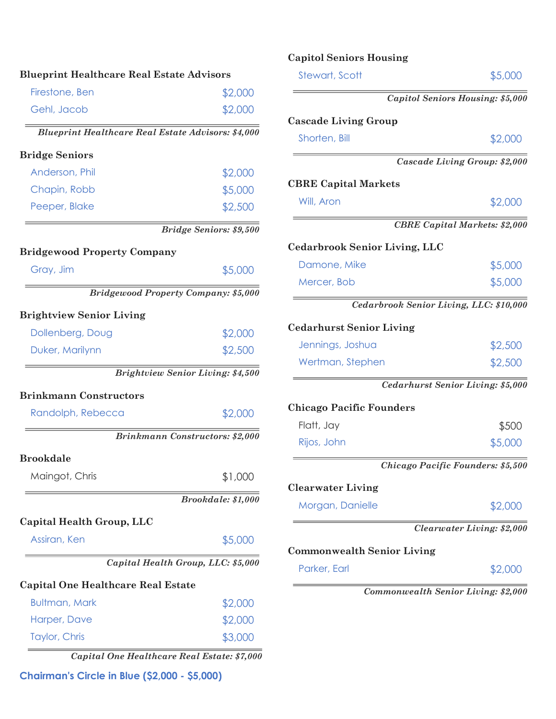| <b>Blueprint Healthcare Real Estate Advisors</b>          |                                          |
|-----------------------------------------------------------|------------------------------------------|
| Firestone, Ben                                            | \$2,000                                  |
| Gehl, Jacob                                               | \$2,000                                  |
| <b>Blueprint Healthcare Real Estate Advisors: \$4,000</b> |                                          |
| <b>Bridge Seniors</b>                                     |                                          |
| Anderson, Phil                                            | \$2,000                                  |
| Chapin, Robb                                              | \$5,000                                  |
| Peeper, Blake                                             | \$2,500                                  |
|                                                           | <b>Bridge Seniors: \$9,500</b>           |
| <b>Bridgewood Property Company</b>                        |                                          |
| Gray, Jim                                                 | \$5,000                                  |
| <b>Bridgewood Property Company: \$5,000</b>               |                                          |
| <b>Brightview Senior Living</b>                           |                                          |
| Dollenberg, Doug                                          | \$2,000                                  |
| Duker, Marilynn                                           | \$2,500                                  |
|                                                           | <b>Brightview Senior Living: \$4,500</b> |
| <b>Brinkmann Constructors</b>                             |                                          |
| Randolph, Rebecca                                         | \$2,000                                  |
|                                                           | Brinkmann Constructors: \$2,000          |
| <b>Brookdale</b>                                          |                                          |
| Maingot, Chris                                            | \$1,000                                  |
|                                                           | Brookdale: \$1,000                       |
| Capital Health Group, LLC                                 |                                          |
| Assiran, Ken                                              | \$5,000                                  |
|                                                           | Capital Health Group, LLC: \$5,000       |
| <b>Capital One Healthcare Real Estate</b>                 |                                          |
| <b>Bultman, Mark</b>                                      | \$2,000                                  |
| Harper, Dave                                              | \$2,000                                  |
|                                                           |                                          |

**Chairman's Circle in Blue (\$2,000 - \$5,000)**

# **Capitol Seniors Housing**

| <b>Cascade Living Group</b>             |                                      |
|-----------------------------------------|--------------------------------------|
| Shorten, Bill                           | \$2,000                              |
|                                         | Cascade Living Group: \$2,000        |
| <b>CBRE Capital Markets</b>             |                                      |
| Will, Aron                              | \$2,000                              |
|                                         | <b>CBRE Capital Markets: \$2,000</b> |
| <b>Cedarbrook Senior Living, LLC</b>    |                                      |
| Damone, Mike                            | \$5,000                              |
| Mercer, Bob                             | \$5,000                              |
| Cedarbrook Senior Living, LLC: \$10,000 |                                      |
| <b>Cedarhurst Senior Living</b>         |                                      |
| Jennings, Joshua                        | \$2,500                              |
| Wertman, Stephen                        | \$2,500                              |
|                                         | Cedarhurst Senior Living: \$5,000    |
| <b>Chicago Pacific Founders</b>         |                                      |
| Flatt, Jay                              | \$500                                |
| Rijos, John                             | \$5,000                              |
|                                         | Chicago Pacific Founders: \$5,500    |
| <b>Clearwater Living</b>                |                                      |
| Morgan, Danielle                        | \$2,000                              |
|                                         | <b>Clearwater Living: \$2,000</b>    |
| <b>Commonwealth Senior Living</b>       |                                      |
| Parker, Earl                            | \$2,000                              |
|                                         | Commonwealth Senior Living: \$2,000  |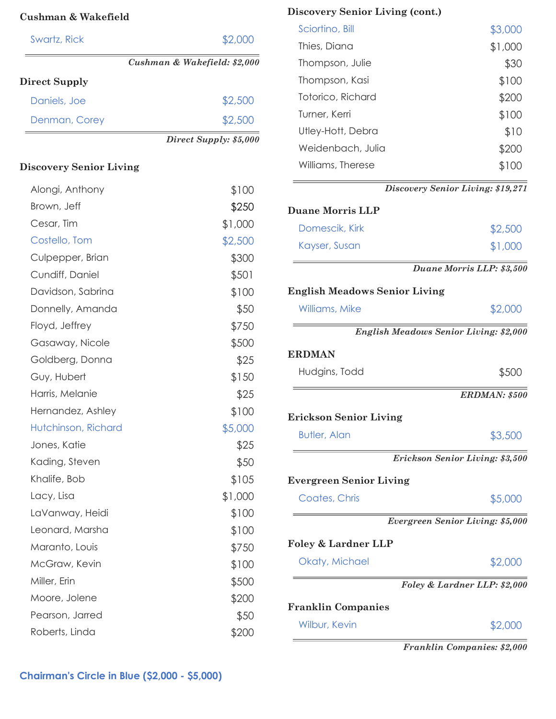| Swartz, Rick  | \$2,000                      |
|---------------|------------------------------|
|               | Cushman & Wakefield: \$2,000 |
| Direct Supply |                              |
| Daniels, Joe  | \$2,500                      |
| Denman, Corey | \$2,500                      |
|               | Direct Supply: \$5,000       |

## **Discovery Senior Living**

| Alongi, Anthony     | \$100   |
|---------------------|---------|
| Brown, Jeff         | \$250   |
| Cesar, Tim          | \$1,000 |
| Costello, Tom       | \$2,500 |
| Culpepper, Brian    | \$300   |
| Cundiff, Daniel     | \$501   |
| Davidson, Sabrina   | \$100   |
| Donnelly, Amanda    | \$50    |
| Floyd, Jeffrey      | \$750   |
| Gasaway, Nicole     | \$500   |
| Goldberg, Donna     | \$25    |
| Guy, Hubert         | \$150   |
| Harris, Melanie     | \$25    |
| Hernandez, Ashley   | \$100   |
| Hutchinson, Richard | \$5,000 |
| Jones, Katie        | \$25    |
| Kading, Steven      | \$50    |
| Khalife, Bob        | \$105   |
| Lacy, Lisa          | \$1,000 |
| LaVanway, Heidi     | \$100   |
| Leonard, Marsha     | \$100   |
| Maranto, Louis      | \$750   |
| McGraw, Kevin       | \$100   |
| Miller, Erin        | \$500   |
| Moore, Jolene       | \$200   |
| Pearson, Jarred     | \$50    |
| Roberts, Linda      | \$200   |

# **Discovery Senior Living (cont.) Cushman & Wakefield**

| Sciortino, Bill   | \$3,000 |
|-------------------|---------|
| Thies, Diana      | \$1,000 |
| Thompson, Julie   | \$30    |
| Thompson, Kasi    | \$100   |
| Totorico, Richard | \$200   |
| Turner, Kerri     | \$100   |
| Utley-Hott, Debra | \$10    |
| Weidenbach, Julia | \$200   |
| Williams, Therese | \$100   |
|                   |         |

*Discovery Senior Living: \$19,271* 

| <b>Duane Morris LLP</b>              |                                               |
|--------------------------------------|-----------------------------------------------|
| Domescik, Kirk                       | \$2,500                                       |
| Kayser, Susan                        | \$1,000                                       |
|                                      | Duane Morris LLP: \$3,500                     |
| <b>English Meadows Senior Living</b> |                                               |
| Williams, Mike                       | \$2,000                                       |
|                                      | <b>English Meadows Senior Living: \$2,000</b> |
| <b>ERDMAN</b>                        |                                               |
| Hudgins, Todd                        | \$500                                         |
|                                      | ERDMAN: \$500                                 |
| <b>Erickson Senior Living</b>        |                                               |
| <b>Butler, Alan</b>                  | \$3,500                                       |
|                                      | Erickson Senior Living: \$3,500               |
| <b>Evergreen Senior Living</b>       |                                               |
| Coates, Chris                        | \$5,000                                       |
|                                      | Evergreen Senior Living: \$5,000              |
| <b>Foley &amp; Lardner LLP</b>       |                                               |
| Okaty, Michael                       | \$2,000                                       |
|                                      | Foley & Lardner LLP: \$2,000                  |
| <b>Franklin Companies</b>            |                                               |
| Wilbur, Kevin                        | \$2,000                                       |

*Franklin Companies: \$2,000*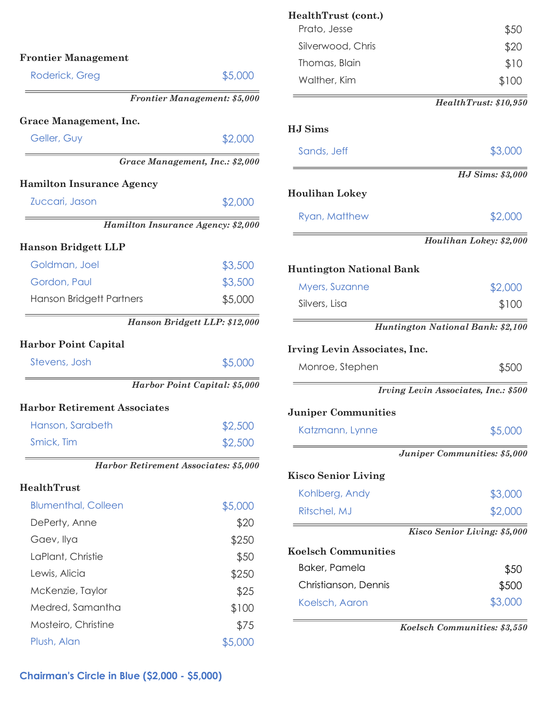| Roderick, Greg                                                                                        | \$5,000                                                                                                                                                               |
|-------------------------------------------------------------------------------------------------------|-----------------------------------------------------------------------------------------------------------------------------------------------------------------------|
|                                                                                                       | Frontier Management: \$5,000                                                                                                                                          |
| <b>Grace Management, Inc.</b>                                                                         |                                                                                                                                                                       |
| Geller, Guy                                                                                           | \$2,000                                                                                                                                                               |
|                                                                                                       | Grace Management, Inc.: \$2,000                                                                                                                                       |
| <b>Hamilton Insurance Agency</b>                                                                      |                                                                                                                                                                       |
| Zuccari, Jason                                                                                        | \$2,000                                                                                                                                                               |
|                                                                                                       | Hamilton Insurance Agency: \$2,000                                                                                                                                    |
| <b>Hanson Bridgett LLP</b>                                                                            |                                                                                                                                                                       |
| Goldman, Joel                                                                                         | \$3,500                                                                                                                                                               |
| Gordon, Paul                                                                                          | \$3,500                                                                                                                                                               |
| Hanson Bridgett Partners                                                                              | \$5,000                                                                                                                                                               |
|                                                                                                       | Hanson Bridgett LLP: \$12,000                                                                                                                                         |
|                                                                                                       |                                                                                                                                                                       |
|                                                                                                       |                                                                                                                                                                       |
| Stevens, Josh                                                                                         |                                                                                                                                                                       |
|                                                                                                       |                                                                                                                                                                       |
|                                                                                                       |                                                                                                                                                                       |
| Hanson, Sarabeth                                                                                      |                                                                                                                                                                       |
| Smick, Tim                                                                                            |                                                                                                                                                                       |
|                                                                                                       |                                                                                                                                                                       |
|                                                                                                       |                                                                                                                                                                       |
| <b>Blumenthal, Colleen</b>                                                                            |                                                                                                                                                                       |
| DePerty, Anne                                                                                         |                                                                                                                                                                       |
| Gaev, Ilya                                                                                            |                                                                                                                                                                       |
| LaPlant, Christie                                                                                     |                                                                                                                                                                       |
| Lewis, Alicia                                                                                         |                                                                                                                                                                       |
| McKenzie, Taylor                                                                                      |                                                                                                                                                                       |
| <b>Harbor Point Capital</b><br><b>Harbor Retirement Associates</b><br>HealthTrust<br>Medred, Samantha | \$5,000<br>Harbor Point Capital: \$5,000<br>\$2,500<br>\$2,500<br>Harbor Retirement Associates: \$5,000<br>\$5,000<br>\$20<br>\$250<br>\$50<br>\$250<br>\$25<br>\$100 |
| Mosteiro, Christine                                                                                   | \$75                                                                                                                                                                  |

| HealthTrust (cont.)<br>Prato, Jesse    | \$50                                 |
|----------------------------------------|--------------------------------------|
| Silverwood, Chris                      | \$20                                 |
| Thomas, Blain                          | \$10                                 |
| Walther, Kim                           | \$100                                |
|                                        | HealthTrust: \$10,950                |
| <b>HJ</b> Sims                         |                                      |
| Sands, Jeff                            | \$3,000                              |
|                                        | <b>HJ</b> Sims: \$3,000              |
| <b>Houlihan Lokey</b>                  |                                      |
| Ryan, Matthew                          | \$2,000                              |
|                                        | Houlihan Lokey: \$2,000              |
| <b>Huntington National Bank</b>        |                                      |
| Myers, Suzanne                         | \$2,000                              |
| Silvers, Lisa                          | \$100                                |
|                                        | Huntington National Bank: \$2,100    |
| Irving Levin Associates, Inc.          |                                      |
| Monroe, Stephen                        | \$500                                |
|                                        | Irving Levin Associates, Inc.: \$500 |
| <b>Juniper Communities</b>             |                                      |
| Katzmann, Lynne                        | \$5,000                              |
|                                        | Juniper Communities: \$5,000         |
| <b>Kisco Senior Living</b>             |                                      |
| Kohlberg, Andy                         | \$3,000                              |
| Ritschel, MJ                           | \$2,000                              |
|                                        | Kisco Senior Living: \$5,000         |
| <b>Koelsch Communities</b>             |                                      |
| Baker, Pamela                          | \$50                                 |
|                                        | \$500                                |
| Christianson, Dennis<br>Koelsch, Aaron | \$3,000                              |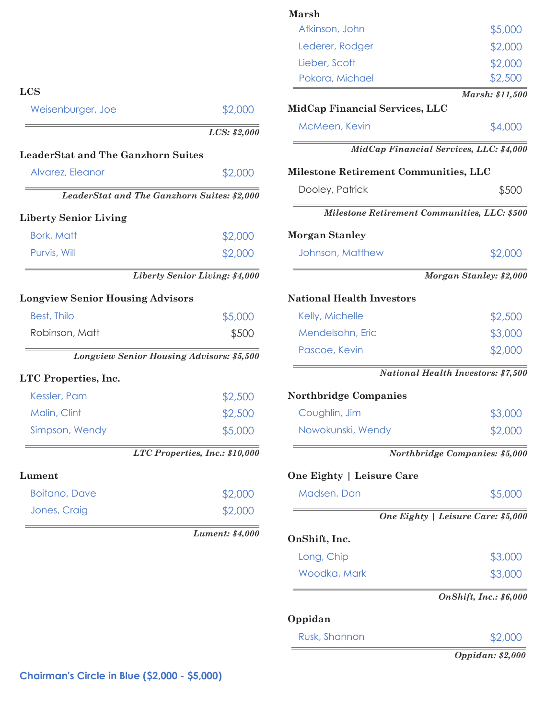|                                             |                                | <b>Marsh</b>                                 |                                           |
|---------------------------------------------|--------------------------------|----------------------------------------------|-------------------------------------------|
|                                             |                                | Atkinson, John                               | \$5,000                                   |
|                                             |                                | Lederer, Rodger                              | \$2,000                                   |
|                                             |                                | Lieber, Scott                                | \$2,000                                   |
|                                             |                                | Pokora, Michael                              | \$2,500                                   |
| <b>LCS</b>                                  |                                |                                              | Marsh: \$11,500                           |
| Weisenburger, Joe                           | \$2,000                        | MidCap Financial Services, LLC               |                                           |
|                                             | LCS: \$2,000                   | McMeen, Kevin                                | \$4,000                                   |
| <b>LeaderStat and The Ganzhorn Suites</b>   |                                | MidCap Financial Services, LLC: \$4,000      |                                           |
| Alvarez, Eleanor                            | \$2,000                        | Milestone Retirement Communities, LLC        |                                           |
| LeaderStat and The Ganzhorn Suites: \$2,000 |                                | Dooley, Patrick                              | \$500                                     |
| <b>Liberty Senior Living</b>                |                                | Milestone Retirement Communities, LLC: \$500 |                                           |
| <b>Bork, Matt</b>                           | \$2,000                        | <b>Morgan Stanley</b>                        |                                           |
| Purvis, Will                                | \$2,000                        | Johnson, Matthew                             | \$2,000                                   |
|                                             | Liberty Senior Living: \$4,000 |                                              | Morgan Stanley: \$2,000                   |
| <b>Longview Senior Housing Advisors</b>     |                                | <b>National Health Investors</b>             |                                           |
| <b>Best, Thilo</b>                          | \$5,000                        | Kelly, Michelle                              | \$2,500                                   |
| Robinson, Matt                              | \$500                          | Mendelsohn, Eric                             | \$3,000                                   |
| Longview Senior Housing Advisors: \$5,500   |                                | Pascoe, Kevin                                | \$2,000                                   |
| LTC Properties, Inc.                        |                                |                                              | <b>National Health Investors: \$7,500</b> |
| Kessler, Pam                                | \$2,500                        | <b>Northbridge Companies</b>                 |                                           |
| Malin, Clint                                | \$2,500                        | Coughlin, Jim                                | \$3,000                                   |
| Simpson, Wendy                              | \$5,000                        | Nowokunski, Wendy                            | \$2,000                                   |
|                                             | LTC Properties, Inc.: \$10,000 |                                              | Northbridge Companies: \$5,000            |
| Lument                                      |                                | One Eighty   Leisure Care                    |                                           |
| <b>Boitano</b> , Dave                       | \$2,000                        | Madsen, Dan                                  | \$5,000                                   |
| Jones, Craig                                | \$2,000                        |                                              | One Eighty   Leisure Care: \$5,000        |
|                                             | <b>Lument: \$4,000</b>         | OnShift, Inc.                                |                                           |
|                                             |                                | Long, Chip                                   | \$3,000                                   |
|                                             |                                | Woodka, Mark                                 | \$3,000                                   |
|                                             |                                |                                              | <b>OnShift, Inc.: \$6,000</b>             |
|                                             |                                | Oppidan                                      |                                           |
|                                             |                                | Rusk, Shannon                                | \$2,000                                   |
|                                             |                                |                                              | Oppidan: \$2,000                          |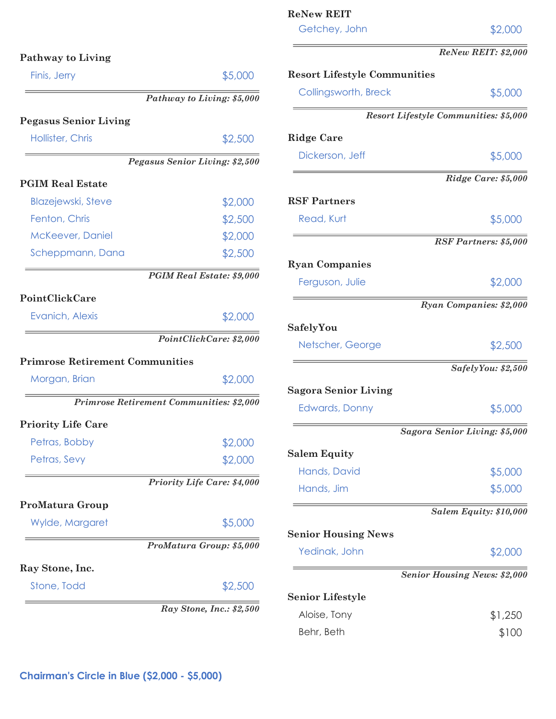| Finis, Jerry                             | \$5,000                            |
|------------------------------------------|------------------------------------|
|                                          | Pathway to Living: \$5,000         |
| <b>Pegasus Senior Living</b>             |                                    |
| Hollister, Chris                         | \$2,500                            |
|                                          | Pegasus Senior Living: \$2,500     |
| <b>PGIM Real Estate</b>                  |                                    |
| <b>Blazejewski, Steve</b>                | \$2,000                            |
| Fenton, Chris                            | \$2,500                            |
| McKeever, Daniel                         | \$2,000                            |
| Scheppmann, Dana                         | \$2,500                            |
|                                          | <b>PGIM Real Estate: \$9,000</b>   |
| PointClickCare                           |                                    |
| Evanich, Alexis                          | \$2,000                            |
|                                          | PointClickCare: \$2,000            |
| <b>Primrose Retirement Communities</b>   |                                    |
| Morgan, Brian                            | \$2,000                            |
| Primrose Retirement Communities: \$2,000 |                                    |
| <b>Priority Life Care</b>                |                                    |
| Petras, Bobby                            | \$2,000                            |
| Petras, Sevy                             | \$2,000                            |
|                                          | <b>Priority Life Care: \$4,000</b> |
| <b>ProMatura Group</b>                   |                                    |
|                                          | \$5,000                            |
| Wylde, Margaret                          |                                    |
|                                          | ProMatura Group: \$5,000           |
| Ray Stone, Inc.                          |                                    |

| Getchey, John                       | \$2,000                               |
|-------------------------------------|---------------------------------------|
|                                     | <b>ReNew REIT: \$2,000</b>            |
| <b>Resort Lifestyle Communities</b> |                                       |
| Collingsworth, Breck                | \$5,000                               |
|                                     | Resort Lifestyle Communities: \$5,000 |
| <b>Ridge Care</b>                   |                                       |
| Dickerson, Jeff                     | \$5,000                               |
|                                     | Ridge Care: \$5,000                   |
| <b>RSF Partners</b>                 |                                       |
| Read, Kurt                          | \$5,000                               |
|                                     | <b>RSF Partners: \$5,000</b>          |
| <b>Ryan Companies</b>               |                                       |
| Ferguson, Julie                     | \$2,000                               |
|                                     | Ryan Companies: \$2,000               |
| SafelyYou                           |                                       |
| Netscher, George                    | \$2,500                               |
|                                     | SafelyYou: \$2,500                    |
| <b>Sagora Senior Living</b>         |                                       |
| <b>Edwards, Donny</b>               | \$5,000                               |
|                                     | Sagora Senior Living: \$5,000         |
| <b>Salem Equity</b>                 |                                       |
| Hands, David                        | \$5,000                               |
| Hands, Jim                          | \$5,000                               |
|                                     | Salem Equity: \$10,000                |
| <b>Senior Housing News</b>          |                                       |
| Yedinak, John                       | \$2,000                               |
|                                     | <b>Senior Housing News: \$2,000</b>   |
| <b>Senior Lifestyle</b>             |                                       |
| Aloise, Tony                        | \$1,250                               |

Behr, Beth  $$100$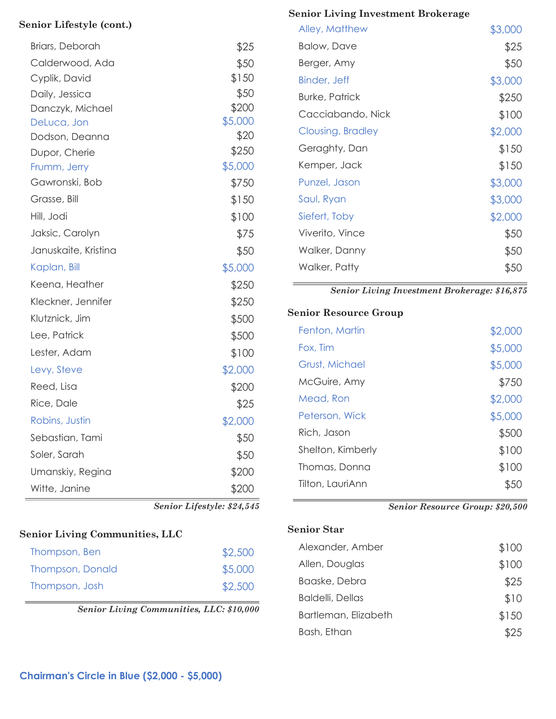| Briars, Deborah      | \$25                       |
|----------------------|----------------------------|
| Calderwood, Ada      | \$50                       |
| Cyplik, David        | \$150                      |
| Daily, Jessica       | \$50                       |
| Danczyk, Michael     | \$200                      |
| DeLuca, Jon          | \$5,000                    |
| Dodson, Deanna       | \$20                       |
| Dupor, Cherie        | \$250                      |
| Frumm, Jerry         | \$5,000                    |
| Gawronski, Bob       | \$750                      |
| Grasse, Bill         | \$150                      |
| Hill, Jodi           | \$100                      |
| Jaksic, Carolyn      | \$75                       |
| Januskaite, Kristina | \$50                       |
| Kaplan, Bill         | \$5,000                    |
| Keena, Heather       | \$250                      |
| Kleckner, Jennifer   | \$250                      |
| Klutznick, Jim       | \$500                      |
| Lee, Patrick         | \$500                      |
| Lester, Adam         | \$100                      |
| Levy, Steve          | \$2,000                    |
| Reed, Lisa           | \$200                      |
| Rice, Dale           | \$25                       |
| Robins, Justin       | \$2,000                    |
| Sebastian, Tami      | \$50                       |
| Soler, Sarah         | \$50                       |
| Umanskiy, Regina     | \$200                      |
| Witte, Janine        | \$200                      |
|                      | Senior Lifestyle: \$24,545 |

**Senior Lifestyle (cont.)**

#### **Senior Living Communities, LLC**

| Thompson, Ben           | \$2,500 |
|-------------------------|---------|
| <b>Thompson, Donald</b> | \$5,000 |
| Thompson, Josh          | \$2,500 |

*Senior Living Communities, LLC: \$10,000* 

## **Senior Living Investment Brokerage**

| Alley, Matthew      | \$3,000 |
|---------------------|---------|
| Balow, Dave         | \$25    |
| Berger, Amy         | \$50    |
| <b>Binder, Jeff</b> | \$3,000 |
| Burke, Patrick      | \$250   |
| Cacciabando, Nick   | \$100   |
| Clousing, Bradley   | \$2,000 |
| Geraghty, Dan       | \$150   |
| Kemper, Jack        | \$150   |
| Punzel, Jason       | \$3,000 |
| Saul, Ryan          | \$3,000 |
| Siefert, Toby       | \$2,000 |
| Viverito, Vince     | \$50    |
| Walker, Danny       | \$50    |
| Walker, Patty       | \$50    |
|                     |         |

*Senior Living Investment Brokerage: \$16,875* 

#### **Senior Resource Group**

| Fenton, Martin    | \$2,000 |
|-------------------|---------|
| Fox, Tim          | \$5,000 |
| Grust, Michael    | \$5,000 |
| McGuire, Amy      | \$750   |
| Mead, Ron         | \$2,000 |
| Peterson, Wick    | \$5,000 |
| Rich, Jason       | \$500   |
| Shelton, Kimberly | \$100   |
| Thomas, Donna     | \$100   |
| Tilton, LauriAnn  |         |
|                   |         |

*Senior Resource Group: \$20,500* 

#### **Senior Star**

| Alexander, Amber         | \$100 |
|--------------------------|-------|
| Allen, Douglas           | \$100 |
| Baaske, Debra            | \$25  |
| <b>Baldelli</b> , Dellas | \$10  |
| Bartleman, Elizabeth     | \$150 |
| Bash, Ethan              | \$25  |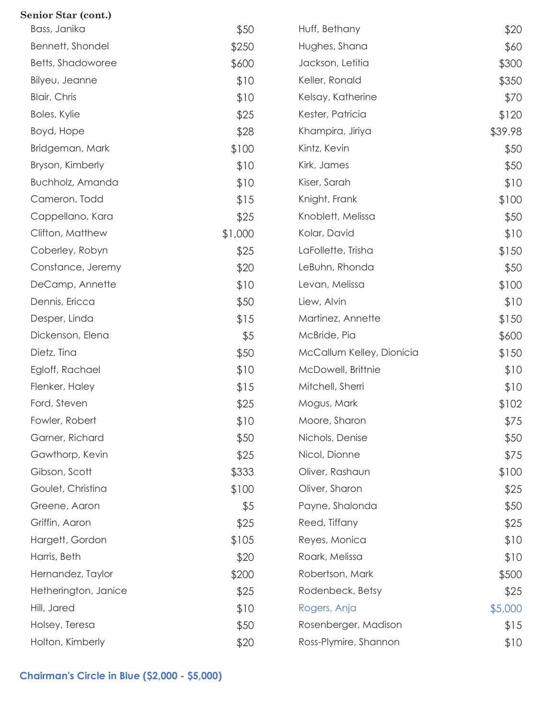| Senior Star (cont.)  |         |                           |         |
|----------------------|---------|---------------------------|---------|
| Bass, Janika         | \$50    | Huff, Bethany             | \$20    |
| Bennett, Shondel     | \$250   | Hughes, Shana             | \$60    |
| Betts, Shadoworee    | \$600   | Jackson, Letitia          | \$300   |
| Bilyeu, Jeanne       | \$10    | Keller, Ronald            | \$350   |
| <b>Blair, Chris</b>  | \$10    | Kelsay, Katherine         | \$70    |
| Boles, Kylie         | \$25    | Kester, Patricia          | \$120   |
| Boyd, Hope           | \$28    | Khampira, Jiriya          | \$39.98 |
| Bridgeman, Mark      | \$100   | Kintz, Kevin              | \$50    |
| Bryson, Kimberly     | \$10    | Kirk, James               | \$50    |
| Buchholz, Amanda     | \$10    | Kiser, Sarah              | \$10    |
| Cameron, Todd        | \$15    | Knight, Frank             | \$100   |
| Cappellano, Kara     | \$25    | Knoblett, Melissa         | \$50    |
| Clifton, Matthew     | \$1,000 | Kolar, David              | \$10    |
| Coberley, Robyn      | \$25    | LaFollette, Trisha        | \$150   |
| Constance, Jeremy    | \$20    | LeBuhn, Rhonda            | \$50    |
| DeCamp, Annette      | \$10    | Levan, Melissa            | \$100   |
| Dennis, Ericca       | \$50    | Liew, Alvin               | \$10    |
| Desper, Linda        | \$15    | Martinez, Annette         | \$150   |
| Dickenson, Elena     | \$5     | McBride, Pia              | \$600   |
| Dietz, Tina          | \$50    | McCallum Kelley, Dionicia | \$150   |
| Egloff, Rachael      | \$10    | McDowell, Brittnie        | \$10    |
| Flenker, Haley       | \$15    | Mitchell, Sherri          | \$10    |
| Ford, Steven         | \$25    | Mogus, Mark               | \$102   |
| Fowler, Robert       | \$10    | Moore, Sharon             | \$75    |
| Garner, Richard      | \$50    | Nichols, Denise           | \$50    |
| Gawthorp, Kevin      | \$25    | Nicol, Dionne             | \$75    |
| Gibson, Scott        | \$333   | Oliver, Rashaun           | \$100   |
| Goulet, Christina    | \$100   | Oliver, Sharon            | \$25    |
| Greene, Aaron        | \$5     | Payne, Shalonda           | \$50    |
| Griffin, Aaron       | \$25    | Reed, Tiffany             | \$25    |
| Hargett, Gordon      | \$105   | Reyes, Monica             | \$10    |
| Harris, Beth         | \$20    | Roark, Melissa            | \$10    |
| Hernandez, Taylor    | \$200   | Robertson, Mark           | \$500   |
| Hetherington, Janice | \$25    | Rodenbeck, Betsy          | \$25    |
| Hill, Jared          | \$10    | Rogers, Anja              | \$5,000 |
| Holsey, Teresa       | \$50    | Rosenberger, Madison      | \$15    |
| Holton, Kimberly     | \$20    | Ross-Plymire, Shannon     | \$10    |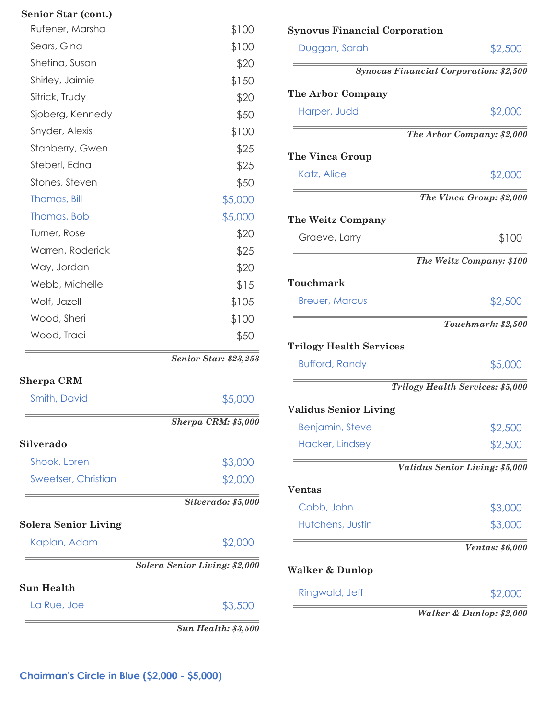| Senior Star (cont.)         |                               |
|-----------------------------|-------------------------------|
| Rufener, Marsha             | \$100                         |
| Sears, Gina                 | \$100                         |
| Shetina, Susan              | \$20                          |
| Shirley, Jaimie             | \$150                         |
| Sitrick, Trudy              | \$20                          |
| Sjoberg, Kennedy            | \$50                          |
| Snyder, Alexis              | \$100                         |
| Stanberry, Gwen             | \$25                          |
| Steberl, Edna               | \$25                          |
| Stones, Steven              | \$50                          |
| Thomas, Bill                | \$5,000                       |
| Thomas, Bob                 | \$5,000                       |
| Turner, Rose                | \$20                          |
| Warren, Roderick            | \$25                          |
| Way, Jordan                 | \$20                          |
| Webb, Michelle              | \$15                          |
| Wolf, Jazell                | \$105                         |
| Wood, Sheri                 | \$100                         |
| Wood, Traci                 | \$50                          |
|                             | Senior Star: \$23,253         |
| Sherpa CRM                  |                               |
| Smith, David                | \$5,000                       |
|                             | <b>Sherpa CRM: \$5,000</b>    |
| Silverado                   |                               |
| Shook, Loren                | \$3,000                       |
| <b>Sweetser, Christian</b>  | \$2,000                       |
|                             | Silverado: \$5,000            |
| <b>Solera Senior Living</b> |                               |
| Kaplan, Adam                | \$2,000                       |
|                             | Solera Senior Living: \$2,000 |
| Sun Health                  |                               |
| La Rue, Joe                 | \$3,500                       |
|                             |                               |

*Sun Health: \$3,500* 

| <b>Synovus Financial Corporation</b>          |                                  |
|-----------------------------------------------|----------------------------------|
| Duggan, Sarah                                 | \$2,500                          |
| <b>Synovus Financial Corporation: \$2,500</b> |                                  |
| The Arbor Company                             |                                  |
| Harper, Judd                                  | \$2,000                          |
|                                               | The Arbor Company: \$2,000       |
| The Vinca Group                               |                                  |
| Katz, Alice                                   | \$2,000                          |
|                                               | The Vinca Group: \$2,000         |
| The Weitz Company                             |                                  |
| Graeve, Larry                                 | \$100                            |
|                                               | The Weitz Company: \$100         |
| Touchmark                                     |                                  |
| <b>Breuer, Marcus</b>                         | \$2,500                          |
|                                               | Touchmark: \$2,500               |
| <b>Trilogy Health Services</b>                |                                  |
| <b>Bufford, Randy</b>                         | \$5,000                          |
|                                               | Trilogy Health Services: \$5,000 |
| <b>Validus Senior Living</b>                  |                                  |
| <b>Benjamin, Steve</b>                        | \$2,500                          |
| Hacker, Lindsey                               | \$2,500                          |
|                                               | Validus Senior Living: \$5,000   |
| <b>Ventas</b>                                 |                                  |
| Cobb, John                                    | \$3,000                          |
| Hutchens, Justin                              | \$3,000                          |
|                                               | Ventas: \$6,000                  |
| Walker & Dunlop                               |                                  |
| Ringwald, Jeff                                | \$2,000                          |
|                                               | Walker & Dunlop: \$2,000         |